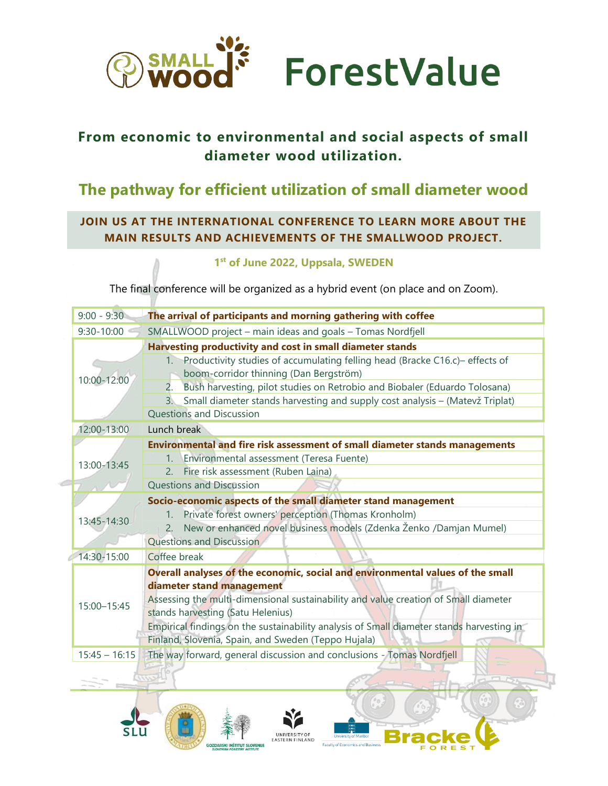

## **From economic to environmental and social aspects of small diameter wood utilization.**

# **The pathway for efficient utilization of small diameter wood**

## **JOIN US AT THE INTERNATIONAL CONFERENCE TO LEARN MORE ABOUT THE MAIN RESULTS AND ACHIEVEMENTS OF THE SMALLWOOD PROJECT.**

### **1 st of June 2022, Uppsala, SWEDEN**

The final conference will be organized as a hybrid event (on place and on Zoom).

| SMALLWOOD project - main ideas and goals - Tomas Nordfjell<br>$9:30 - 10:00$<br>Harvesting productivity and cost in small diameter stands<br>Productivity studies of accumulating felling head (Bracke C16.c)- effects of<br>$1_{\cdot}$<br>boom-corridor thinning (Dan Bergström)<br>10:00-12:00<br>2.<br>Bush harvesting, pilot studies on Retrobio and Biobaler (Eduardo Tolosana)<br>Small diameter stands harvesting and supply cost analysis - (Matevž Triplat)<br>3.<br><b>Questions and Discussion</b> |  |
|----------------------------------------------------------------------------------------------------------------------------------------------------------------------------------------------------------------------------------------------------------------------------------------------------------------------------------------------------------------------------------------------------------------------------------------------------------------------------------------------------------------|--|
|                                                                                                                                                                                                                                                                                                                                                                                                                                                                                                                |  |
|                                                                                                                                                                                                                                                                                                                                                                                                                                                                                                                |  |
| 12:00-13:00<br>Lunch break                                                                                                                                                                                                                                                                                                                                                                                                                                                                                     |  |
| Environmental and fire risk assessment of small diameter stands managements<br>Environmental assessment (Teresa Fuente)<br>$1_{-}$<br>13:00-13:45<br>2. Fire risk assessment (Ruben Laina)<br>Questions and Discussion<br>Socio-economic aspects of the small diameter stand management<br>Private forest owners' perception (Thomas Kronholm)<br>$1_{-}$<br>13:45-14:30<br>New or enhanced novel business models (Zdenka Ženko /Damjan Mumel)<br><b>Questions and Discussion</b>                              |  |
| 14:30-15:00<br>Coffee break                                                                                                                                                                                                                                                                                                                                                                                                                                                                                    |  |
| Overall analyses of the economic, social and environmental values of the small<br>diameter stand management<br>Assessing the multi-dimensional sustainability and value creation of Small diameter<br>15:00-15:45<br>stands harvesting (Satu Helenius)<br>Empirical findings on the sustainability analysis of Small diameter stands harvesting in<br>Finland, Slovenia, Spain, and Sweden (Teppo Hujala)                                                                                                      |  |
| The way forward, general discussion and conclusions - Tomas Nordfjell<br>$15:45 - 16:15$                                                                                                                                                                                                                                                                                                                                                                                                                       |  |